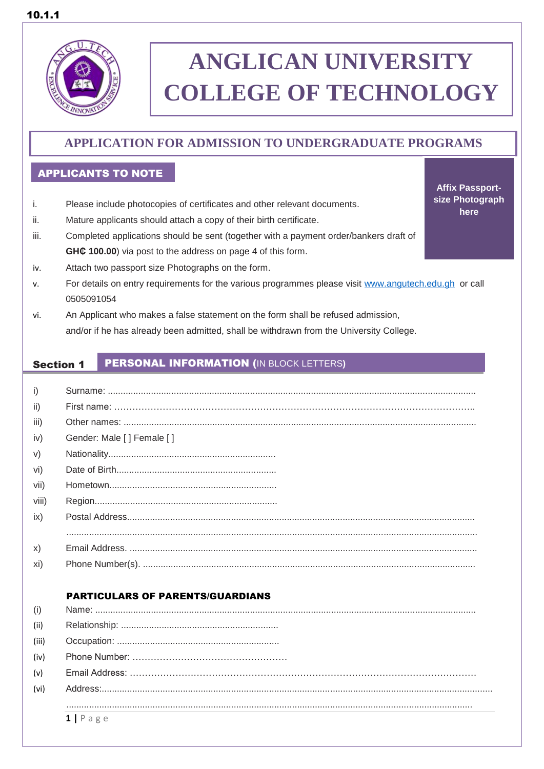

# **ANGLICAN UNIVERSITY COLLEGE OF TECHNOLOGY**

**Affix Passportsize Photograph here**

## **APPLICATION FOR ADMISSION TO UNDERGRADUATE PROGRAMS**

### I APPLICANTS TO NOTE

- i. Please include photocopies of certificates and other relevant documents.
- ii. Mature applicants should attach a copy of their birth certificate.
- iii. Completed applications should be sent (together with a payment order/bankers draft of **GH¢ 100.00**) via post to the address on page 4 of this form.
- iv. Attach two passport size Photographs on the form.
- v. For details on entry requirements for the various programmes please visit [www.angutech.edu.gh](http://www.angutech.edu.gh/) or call 0505091054
- vi. An Applicant who makes a false statement on the form shall be refused admission, and/or if he has already been admitted, shall be withdrawn from the University College.

#### Section 1 PERSONAL INFORMATION (IN BLOCK LETTERS**)**

| i)    |                           |
|-------|---------------------------|
| ii)   |                           |
| iii)  |                           |
| iv)   | Gender: Male [] Female [] |
| V)    |                           |
| vi)   |                           |
| vii)  |                           |
| viii) |                           |
| ix)   |                           |
|       |                           |
| X)    |                           |
| Xi)   |                           |
|       |                           |

### PARTICULARS OF PARENTS/GUARDIANS

| (i)   |            |
|-------|------------|
| (ii)  |            |
| (iii) |            |
| (iv)  |            |
| (v)   |            |
| (vi)  |            |
|       |            |
|       | $1$   Page |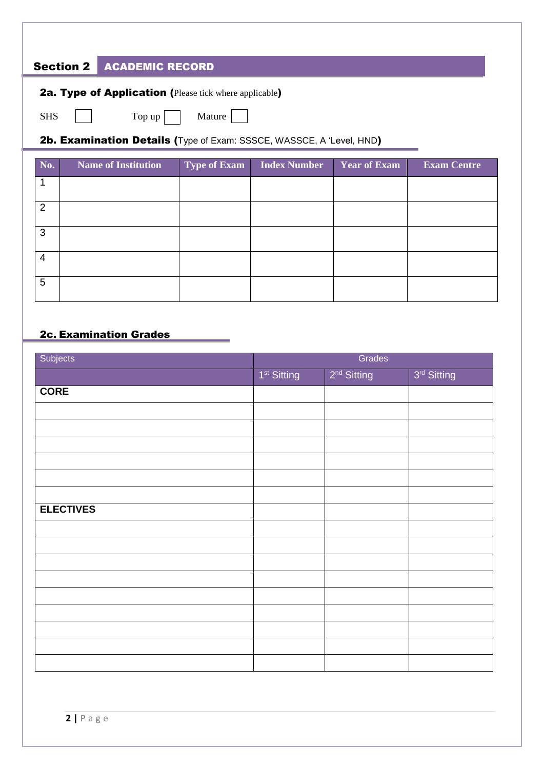### Section 2 ACADEMIC RECORD

SHS  $\Box$  Top up Mature  $\Box$ 

2b. Examination Details (Type of Exam: SSSCE, WASSCE, A 'Level, HND)

| No. | <b>Name of Institution</b> | Type of Exam | Index Number | Year of Exam | <b>Exam Centre</b> |
|-----|----------------------------|--------------|--------------|--------------|--------------------|
|     |                            |              |              |              |                    |
| 2   |                            |              |              |              |                    |
| 3   |                            |              |              |              |                    |
| 4   |                            |              |              |              |                    |
| 5   |                            |              |              |              |                    |

### 2c. Examination Grades

| Subjects         | Grades                  |                         |                         |
|------------------|-------------------------|-------------------------|-------------------------|
|                  | 1 <sup>st</sup> Sitting | 2 <sup>nd</sup> Sitting | 3 <sup>rd</sup> Sitting |
| <b>CORE</b>      |                         |                         |                         |
|                  |                         |                         |                         |
|                  |                         |                         |                         |
|                  |                         |                         |                         |
|                  |                         |                         |                         |
|                  |                         |                         |                         |
|                  |                         |                         |                         |
| <b>ELECTIVES</b> |                         |                         |                         |
|                  |                         |                         |                         |
|                  |                         |                         |                         |
|                  |                         |                         |                         |
|                  |                         |                         |                         |
|                  |                         |                         |                         |
|                  |                         |                         |                         |
|                  |                         |                         |                         |
|                  |                         |                         |                         |
|                  |                         |                         |                         |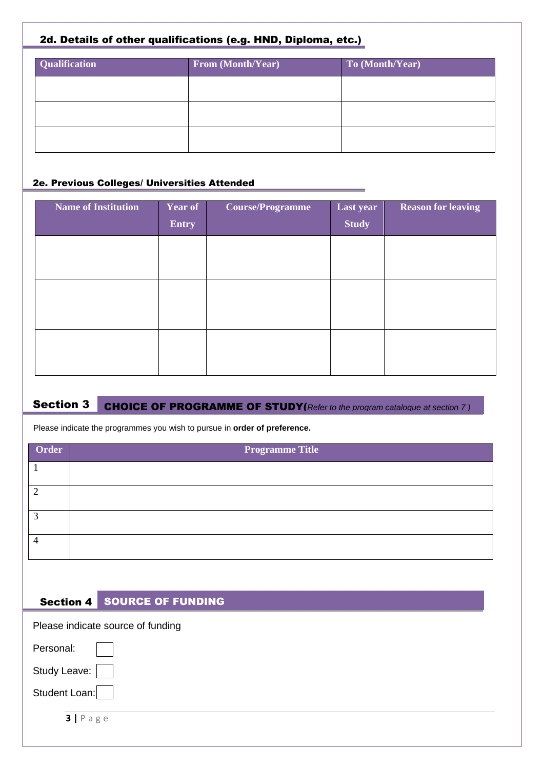### 2d. Details of other qualifications (e.g. HND, Diploma, etc.)

| <b>Qualification</b> | From (Month/Year) | To (Month/Year) |
|----------------------|-------------------|-----------------|
|                      |                   |                 |
|                      |                   |                 |
|                      |                   |                 |
|                      |                   |                 |

### 2e. Previous Colleges/ Universities Attended

| <b>Name of Institution</b> | Year of | <b>Course/Programme</b> | Last year    | <b>Reason for leaving</b> |
|----------------------------|---------|-------------------------|--------------|---------------------------|
|                            | Entry   |                         | <b>Study</b> |                           |
|                            |         |                         |              |                           |
|                            |         |                         |              |                           |
|                            |         |                         |              |                           |
|                            |         |                         |              |                           |
|                            |         |                         |              |                           |
|                            |         |                         |              |                           |
|                            |         |                         |              |                           |

### Section 3 CHOICE OF PROGRAMME OF STUDY(*Refer to the program catalogue at section 7 )*

Please indicate the programmes you wish to pursue in **order of preference.**

| Order | <b>Programme Title</b> |
|-------|------------------------|
|       |                        |
|       |                        |
| 2     |                        |
|       |                        |

### Section 4 SOURCE OF FUNDING

Please indicate source of funding

| Personal:     |  |
|---------------|--|
| Study Leave:  |  |
| Student Loan: |  |

**3 |** P a g e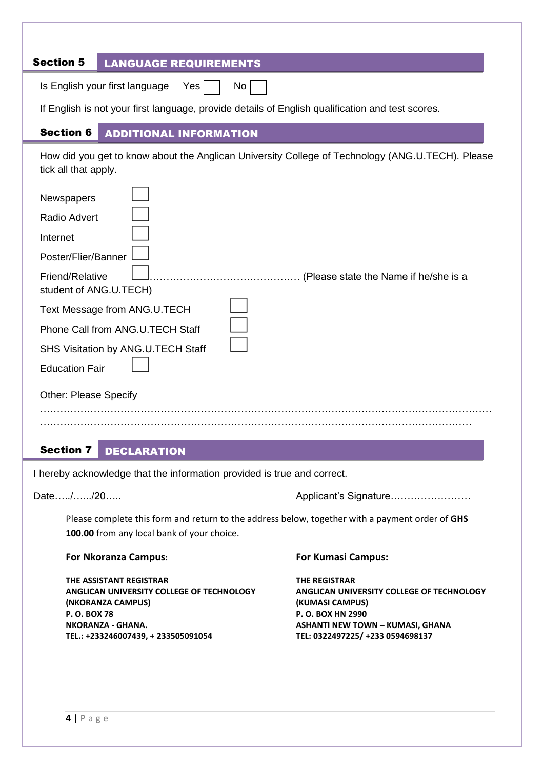| <b>Section 5</b><br><b>LANGUAGE REQUIREMENTS</b>                                                                                                                                                                                                                                         |
|------------------------------------------------------------------------------------------------------------------------------------------------------------------------------------------------------------------------------------------------------------------------------------------|
| Is English your first language<br>Yes<br>No                                                                                                                                                                                                                                              |
| If English is not your first language, provide details of English qualification and test scores.                                                                                                                                                                                         |
| <b>Section 6</b><br><b>ADDITIONAL INFORMATION</b>                                                                                                                                                                                                                                        |
| How did you get to know about the Anglican University College of Technology (ANG.U.TECH). Please<br>tick all that apply.                                                                                                                                                                 |
| Newspapers<br>Radio Advert<br>Internet<br>Poster/Flier/Banner<br>Friend/Relative<br>. (Please state the Name if he/she is a<br>student of ANG.U.TECH)<br>Text Message from ANG.U.TECH<br>Phone Call from ANG.U.TECH Staff<br>SHS Visitation by ANG.U.TECH Staff<br><b>Education Fair</b> |
| <b>Other: Please Specify</b>                                                                                                                                                                                                                                                             |
|                                                                                                                                                                                                                                                                                          |

### Section 7 DECLARATION

I hereby acknowledge that the information provided is true and correct.

Date…../……/20…… Applicant's Signature………………………

Please complete this form and return to the address below, together with a payment order of **GHS 100.00** from any local bank of your choice.

### **For Nkoranza Campus: For Kumasi Campus:**

**THE ASSISTANT REGISTRAR THE REGISTRAR (NKORANZA CAMPUS) (KUMASI CAMPUS) P. O. BOX 78 P. O. BOX HN 2990 NKORANZA - GHANA. ASHANTI NEW TOWN – KUMASI, GHANA TEL.: +233246007439, + 233505091054 TEL: 0322497225/ +233 0594698137**

**ANGLICAN UNIVERSITY COLLEGE OF TECHNOLOGY ANGLICAN UNIVERSITY COLLEGE OF TECHNOLOGY**